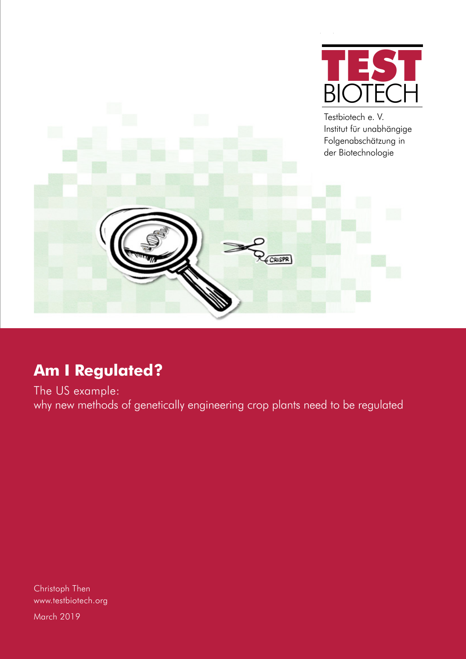

Testbiotech e. V. Institut für unabhängige Folgenabschätzung in der Biotechnologie CRISPR

# **Am I Regulated?**

The US example: why new methods of genetically engineering crop plants need to be regulated

Christoph Then www.testbiotech.org March 2019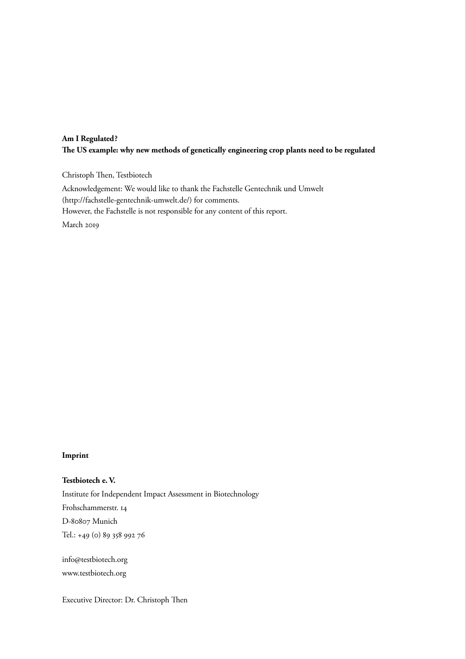## **Am I Regulated? The US example: why new methods of genetically engineering crop plants need to be regulated**

Christoph Then, Testbiotech Acknowledgement: We would like to thank the Fachstelle Gentechnik und Umwelt (http://fachstelle-gentechnik-umwelt.de/) for comments. However, the Fachstelle is not responsible for any content of this report. March 2019

#### **Imprint**

**Testbiotech e. V.** Institute for Independent Impact Assessment in Biotechnology Frohschammerstr. 14 D-80807 Munich Tel.: +49 (0) 89 358 992 76

info@testbiotech.org www.testbiotech.org

Executive Director: Dr. Christoph Then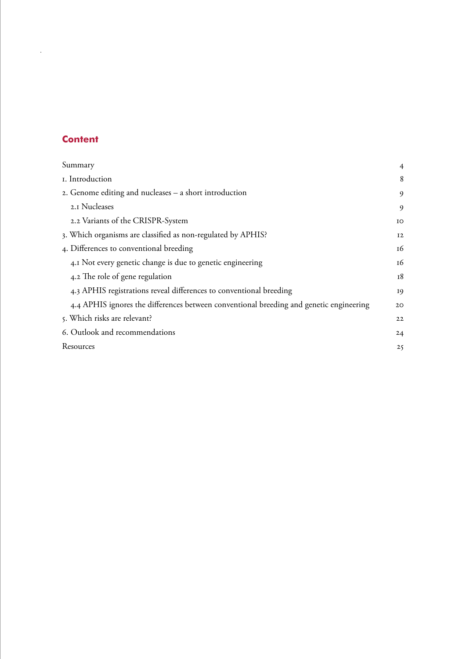# **Content**

|

| Summary                                                                                 | $\overline{4}$ |
|-----------------------------------------------------------------------------------------|----------------|
| I. Introduction                                                                         | 8              |
| 2. Genome editing and nucleases - a short introduction                                  | 9              |
| 2.1 Nucleases                                                                           | 9              |
| 2.2 Variants of the CRISPR-System                                                       | IO             |
| 3. Which organisms are classified as non-regulated by APHIS?                            | 12             |
| 4. Differences to conventional breeding                                                 | 16             |
| 4.1 Not every genetic change is due to genetic engineering                              | 16             |
| 4.2 The role of gene regulation                                                         | 18             |
| 4.3 APHIS registrations reveal differences to conventional breeding                     | 19             |
| 4.4 APHIS ignores the differences between conventional breeding and genetic engineering | 20             |
| 5. Which risks are relevant?                                                            | 22             |
| 6. Outlook and recommendations                                                          | 24             |
| Resources                                                                               | 25             |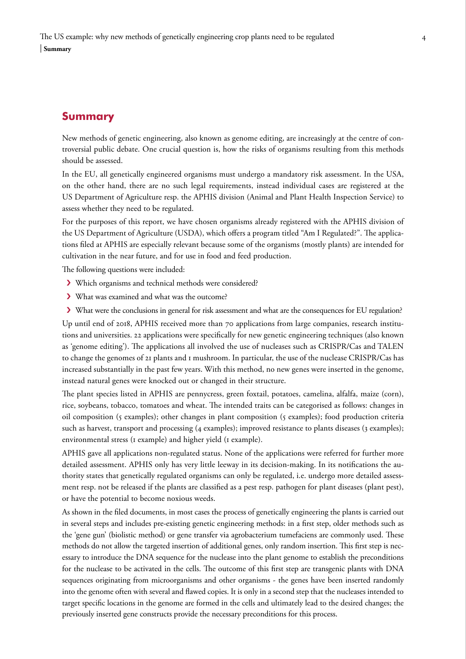# <span id="page-3-0"></span>**Summary**

New methods of genetic engineering, also known as genome editing, are increasingly at the centre of controversial public debate. One crucial question is, how the risks of organisms resulting from this methods should be assessed.

In the EU, all genetically engineered organisms must undergo a mandatory risk assessment. In the USA, on the other hand, there are no such legal requirements, instead individual cases are registered at the US Department of Agriculture resp. the APHIS division (Animal and Plant Health Inspection Service) to assess whether they need to be regulated.

For the purposes of this report, we have chosen organisms already registered with the APHIS division of the US Department of Agriculture (USDA), which offers a program titled "Am I Regulated?". The applications filed at APHIS are especially relevant because some of the organisms (mostly plants) are intended for cultivation in the near future, and for use in food and feed production.

The following questions were included:

- › Which organisms and technical methods were considered?
- › What was examined and what was the outcome?
- › What were the conclusions in general for risk assessment and what are the consequences for EU regulation?

Up until end of 2018, APHIS received more than 70 applications from large companies, research institutions and universities. 22 applications were specifically for new genetic engineering techniques (also known as 'genome editing'). The applications all involved the use of nucleases such as CRISPR/Cas and TALEN to change the genomes of 21 plants and 1 mushroom. In particular, the use of the nuclease CRISPR/Cas has increased substantially in the past few years. With this method, no new genes were inserted in the genome, instead natural genes were knocked out or changed in their structure.

The plant species listed in APHIS are pennycress, green foxtail, potatoes, camelina, alfalfa, maize (corn), rice, soybeans, tobacco, tomatoes and wheat. The intended traits can be categorised as follows: changes in oil composition (5 examples); other changes in plant composition (5 examples); food production criteria such as harvest, transport and processing (4 examples); improved resistance to plants diseases (3 examples); environmental stress (1 example) and higher yield (1 example).

APHIS gave all applications non-regulated status. None of the applications were referred for further more detailed assessment. APHIS only has very little leeway in its decision-making. In its notifications the authority states that genetically regulated organisms can only be regulated, i.e. undergo more detailed assessment resp. not be released if the plants are classified as a pest resp. pathogen for plant diseases (plant pest), or have the potential to become noxious weeds.

As shown in the filed documents, in most cases the process of genetically engineering the plants is carried out in several steps and includes pre-existing genetic engineering methods: in a first step, older methods such as the 'gene gun' (biolistic method) or gene transfer via agrobacterium tumefaciens are commonly used. These methods do not allow the targeted insertion of additional genes, only random insertion. This first step is necessary to introduce the DNA sequence for the nuclease into the plant genome to establish the preconditions for the nuclease to be activated in the cells. The outcome of this first step are transgenic plants with DNA sequences originating from microorganisms and other organisms - the genes have been inserted randomly into the genome often with several and flawed copies. It is only in a second step that the nucleases intended to target specific locations in the genome are formed in the cells and ultimately lead to the desired changes; the previously inserted gene constructs provide the necessary preconditions for this process.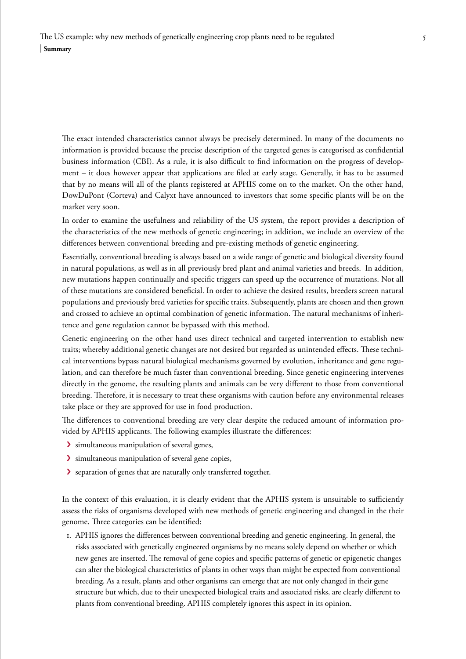The exact intended characteristics cannot always be precisely determined. In many of the documents no information is provided because the precise description of the targeted genes is categorised as confidential business information (CBI). As a rule, it is also difficult to find information on the progress of development – it does however appear that applications are filed at early stage. Generally, it has to be assumed that by no means will all of the plants registered at APHIS come on to the market. On the other hand, DowDuPont (Corteva) and Calyxt have announced to investors that some specific plants will be on the market very soon.

In order to examine the usefulness and reliability of the US system, the report provides a description of the characteristics of the new methods of genetic engineering; in addition, we include an overview of the differences between conventional breeding and pre-existing methods of genetic engineering.

Essentially, conventional breeding is always based on a wide range of genetic and biological diversity found in natural populations, as well as in all previously bred plant and animal varieties and breeds. In addition, new mutations happen continually and specific triggers can speed up the occurrence of mutations. Not all of these mutations are considered beneficial. In order to achieve the desired results, breeders screen natural populations and previously bred varieties for specific traits. Subsequently, plants are chosen and then grown and crossed to achieve an optimal combination of genetic information. The natural mechanisms of inheritence and gene regulation cannot be bypassed with this method.

Genetic engineering on the other hand uses direct technical and targeted intervention to establish new traits; whereby additional genetic changes are not desired but regarded as unintended effects. These technical interventions bypass natural biological mechanisms governed by evolution, inheritance and gene regulation, and can therefore be much faster than conventional breeding. Since genetic engineering intervenes directly in the genome, the resulting plants and animals can be very different to those from conventional breeding. Therefore, it is necessary to treat these organisms with caution before any environmental releases take place or they are approved for use in food production.

The differences to conventional breeding are very clear despite the reduced amount of information provided by APHIS applicants. The following examples illustrate the differences:

- › simultaneous manipulation of several genes,
- › simultaneous manipulation of several gene copies,
- › separation of genes that are naturally only transferred together.

In the context of this evaluation, it is clearly evident that the APHIS system is unsuitable to sufficiently assess the risks of organisms developed with new methods of genetic engineering and changed in the their genome. Three categories can be identified:

1. APHIS ignores the differences between conventional breeding and genetic engineering. In general, the risks associated with genetically engineered organisms by no means solely depend on whether or which new genes are inserted. The removal of gene copies and specific patterns of genetic or epigenetic changes can alter the biological characteristics of plants in other ways than might be expected from conventional breeding. As a result, plants and other organisms can emerge that are not only changed in their gene structure but which, due to their unexpected biological traits and associated risks, are clearly different to plants from conventional breeding. APHIS completely ignores this aspect in its opinion.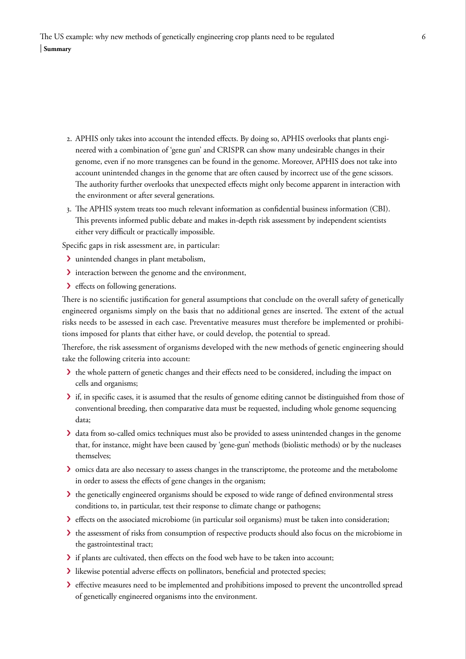- 2. APHIS only takes into account the intended effects. By doing so, APHIS overlooks that plants engineered with a combination of 'gene gun' and CRISPR can show many undesirable changes in their genome, even if no more transgenes can be found in the genome. Moreover, APHIS does not take into account unintended changes in the genome that are often caused by incorrect use of the gene scissors. The authority further overlooks that unexpected effects might only become apparent in interaction with the environment or after several generations.
- 3. The APHIS system treats too much relevant information as confidential business information (CBI). This prevents informed public debate and makes in-depth risk assessment by independent scientists either very difficult or practically impossible.

Specific gaps in risk assessment are, in particular:

- › unintended changes in plant metabolism,
- › interaction between the genome and the environment,
- > effects on following generations.

There is no scientific justification for general assumptions that conclude on the overall safety of genetically engineered organisms simply on the basis that no additional genes are inserted. The extent of the actual risks needs to be assessed in each case. Preventative measures must therefore be implemented or prohibitions imposed for plants that either have, or could develop, the potential to spread.

Therefore, the risk assessment of organisms developed with the new methods of genetic engineering should take the following criteria into account:

- › the whole pattern of genetic changes and their effects need to be considered, including the impact on cells and organisms;
- › if, in specific cases, it is assumed that the results of genome editing cannot be distinguished from those of conventional breeding, then comparative data must be requested, including whole genome sequencing data;
- › data from so-called omics techniques must also be provided to assess unintended changes in the genome that, for instance, might have been caused by 'gene-gun' methods (biolistic methods) or by the nucleases themselves;
- › omics data are also necessary to assess changes in the transcriptome, the proteome and the metabolome in order to assess the effects of gene changes in the organism;
- › the genetically engineered organisms should be exposed to wide range of defined environmental stress conditions to, in particular, test their response to climate change or pathogens;
- › effects on the associated microbiome (in particular soil organisms) must be taken into consideration;
- If the assessment of risks from consumption of respective products should also focus on the microbiome in the gastrointestinal tract;
- › if plants are cultivated, then effects on the food web have to be taken into account;
- › likewise potential adverse effects on pollinators, beneficial and protected species;
- › effective measures need to be implemented and prohibitions imposed to prevent the uncontrolled spread of genetically engineered organisms into the environment.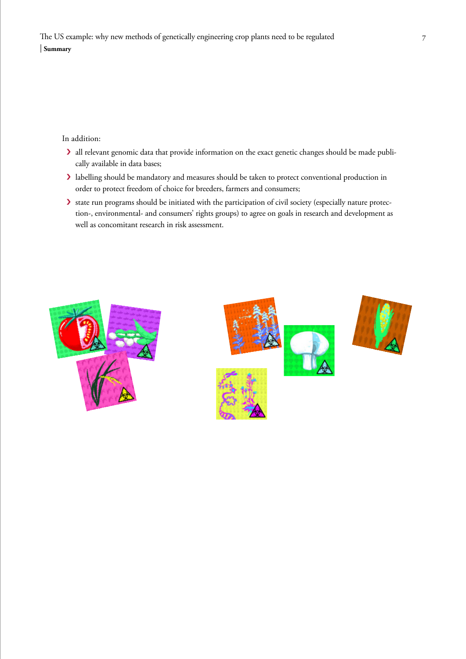In addition:

- › all relevant genomic data that provide information on the exact genetic changes should be made publically available in data bases;
- › labelling should be mandatory and measures should be taken to protect conventional production in order to protect freedom of choice for breeders, farmers and consumers;
- › state run programs should be initiated with the participation of civil society (especially nature protection-, environmental- and consumers' rights groups) to agree on goals in research and development as well as concomitant research in risk assessment.





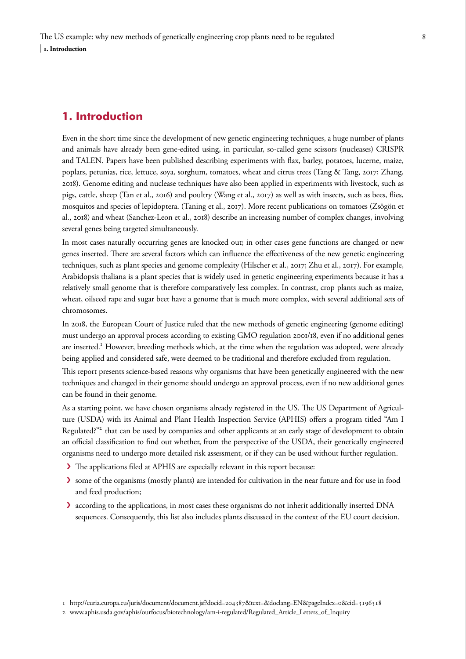# <span id="page-7-0"></span>**1. Introduction**

Even in the short time since the development of new genetic engineering techniques, a huge number of plants and animals have already been gene-edited using, in particular, so-called gene scissors (nucleases) CRISPR and TALEN. Papers have been published describing experiments with flax, barley, potatoes, lucerne, maize, poplars, petunias, rice, lettuce, soya, sorghum, tomatoes, wheat and citrus trees (Tang & Tang, 2017; Zhang, 2018). Genome editing and nuclease techniques have also been applied in experiments with livestock, such as pigs, cattle, sheep (Tan et al., 2016) and poultry (Wang et al., 2017) as well as with insects, such as bees, flies, mosquitos and species of lepidoptera. (Taning et al., 2017). More recent publications on tomatoes (Zsögön et al., 2018) and wheat (Sanchez-Leon et al., 2018) describe an increasing number of complex changes, involving several genes being targeted simultaneously.

In most cases naturally occurring genes are knocked out; in other cases gene functions are changed or new genes inserted. There are several factors which can influence the effectiveness of the new genetic engineering techniques, such as plant species and genome complexity (Hilscher et al., 2017; Zhu et al., 2017). For example, Arabidopsis thaliana is a plant species that is widely used in genetic engineering experiments because it has a relatively small genome that is therefore comparatively less complex. In contrast, crop plants such as maize, wheat, oilseed rape and sugar beet have a genome that is much more complex, with several additional sets of chromosomes.

In 2018, the European Court of Justice ruled that the new methods of genetic engineering (genome editing) must undergo an approval process according to existing GMO regulation 2001/18, even if no additional genes are inserted.<sup>1</sup> However, breeding methods which, at the time when the regulation was adopted, were already being applied and considered safe, were deemed to be traditional and therefore excluded from regulation.

This report presents science-based reasons why organisms that have been genetically engineered with the new techniques and changed in their genome should undergo an approval process, even if no new additional genes can be found in their genome.

As a starting point, we have chosen organisms already registered in the US. The US Department of Agriculture (USDA) with its Animal and Plant Health Inspection Service (APHIS) offers a program titled "Am I Regulated?"<sup>2</sup> that can be used by companies and other applicants at an early stage of development to obtain an official classification to find out whether, from the perspective of the USDA, their genetically engineered organisms need to undergo more detailed risk assessment, or if they can be used without further regulation.

- › The applications filed at APHIS are especially relevant in this report because:
- › some of the organisms (mostly plants) are intended for cultivation in the near future and for use in food and feed production;
- › according to the applications, in most cases these organisms do not inherit additionally inserted DNA sequences. Consequently, this list also includes plants discussed in the context of the EU court decision.

<sup>1</sup> http://curia.europa.eu/juris/document/document.jsf?docid=204387&text=&doclang=EN&pageIndex=0&cid=3196318

<sup>2</sup> www.aphis.usda.gov/aphis/ourfocus/biotechnology/am-i-regulated/Regulated\_Article\_Letters\_of\_Inquiry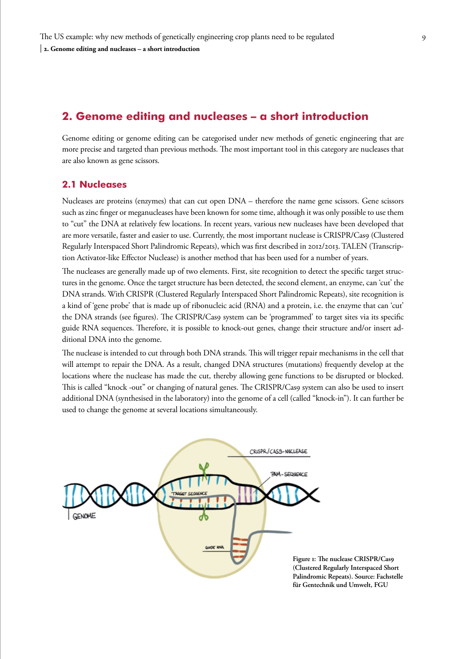# <span id="page-8-0"></span>**2. Genome editing and nucleases – a short introduction**

Genome editing or genome editing can be categorised under new methods of genetic engineering that are more precise and targeted than previous methods. The most important tool in this category are nucleases that are also known as gene scissors.

## **2.1 Nucleases**

Nucleases are proteins (enzymes) that can cut open DNA – therefore the name gene scissors. Gene scissors such as zinc finger or meganucleases have been known for some time, although it was only possible to use them to "cut" the DNA at relatively few locations. In recent years, various new nucleases have been developed that are more versatile, faster and easier to use. Currently, the most important nuclease is CRISPR/Cas9 (Clustered Regularly Interspaced Short Palindromic Repeats), which was first described in 2012/2013. TALEN (Transcription Activator-like Effector Nuclease) is another method that has been used for a number of years.

The nucleases are generally made up of two elements. First, site recognition to detect the specific target structures in the genome. Once the target structure has been detected, the second element, an enzyme, can 'cut' the DNA strands. With CRISPR (Clustered Regularly Interspaced Short Palindromic Repeats), site recognition is a kind of 'gene probe' that is made up of ribonucleic acid (RNA) and a protein, i.e. the enzyme that can 'cut' the DNA strands (see figures). The CRISPR/Cas9 system can be 'programmed' to target sites via its specific guide RNA sequences. Therefore, it is possible to knock-out genes, change their structure and/or insert additional DNA into the genome.

The nuclease is intended to cut through both DNA strands. This will trigger repair mechanisms in the cell that will attempt to repair the DNA. As a result, changed DNA structures (mutations) frequently develop at the locations where the nuclease has made the cut, thereby allowing gene functions to be disrupted or blocked. This is called "knock -out" or changing of natural genes. The CRISPR/Cas9 system can also be used to insert additional DNA (synthesised in the laboratory) into the genome of a cell (called "knock-in"). It can further be used to change the genome at several locations simultaneously.

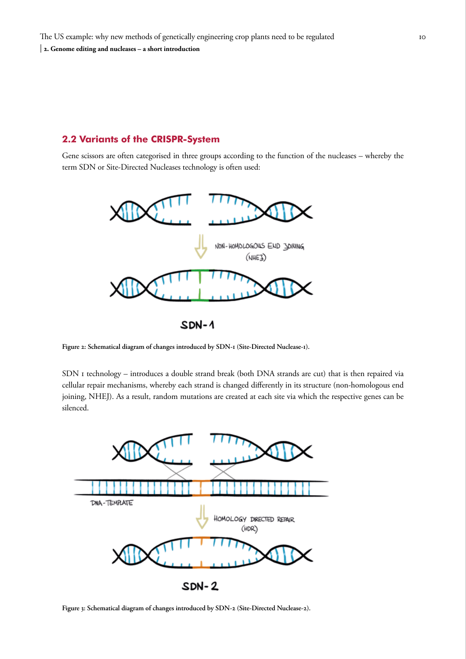## <span id="page-9-0"></span>**2.2 Variants of the CRISPR-System**

Gene scissors are often categorised in three groups according to the function of the nucleases – whereby the term SDN or Site-Directed Nucleases technology is often used:



 $SDN-1$ 

**Figure 2: Schematical diagram of changes introduced by SDN-1 (Site-Directed Nuclease-1).**

SDN I technology – introduces a double strand break (both DNA strands are cut) that is then repaired via cellular repair mechanisms, whereby each strand is changed differently in its structure (non-homologous end joining, NHEJ). As a result, random mutations are created at each site via which the respective genes can be silenced.



**Figure 3: Schematical diagram of changes introduced by SDN-2 (Site-Directed Nuclease-2).**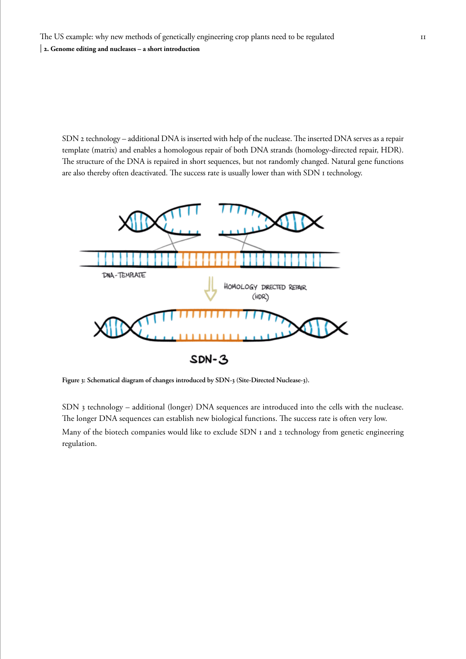SDN 2 technology – additional DNA is inserted with help of the nuclease. The inserted DNA serves as a repair template (matrix) and enables a homologous repair of both DNA strands (homology-directed repair, HDR). The structure of the DNA is repaired in short sequences, but not randomly changed. Natural gene functions are also thereby often deactivated. The success rate is usually lower than with SDN 1 technology.



**Figure 3: Schematical diagram of changes introduced by SDN-3 (Site-Directed Nuclease-3).** 

SDN 3 technology – additional (longer) DNA sequences are introduced into the cells with the nuclease. The longer DNA sequences can establish new biological functions. The success rate is often very low. Many of the biotech companies would like to exclude SDN I and 2 technology from genetic engineering regulation.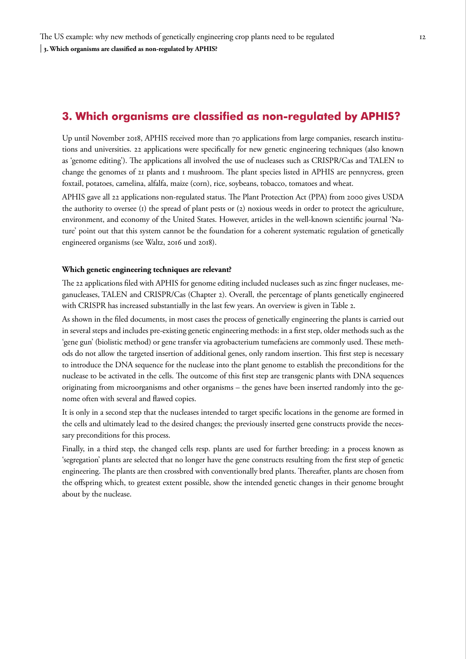# <span id="page-11-0"></span>**3. Which organisms are classified as non-regulated by APHIS?**

Up until November 2018, APHIS received more than 70 applications from large companies, research institutions and universities. 22 applications were specifically for new genetic engineering techniques (also known as 'genome editing'). The applications all involved the use of nucleases such as CRISPR/Cas and TALEN to change the genomes of 21 plants and 1 mushroom. The plant species listed in APHIS are pennycress, green foxtail, potatoes, camelina, alfalfa, maize (corn), rice, soybeans, tobacco, tomatoes and wheat.

APHIS gave all 22 applications non-regulated status. The Plant Protection Act (PPA) from 2000 gives USDA the authority to oversee (1) the spread of plant pests or (2) noxious weeds in order to protect the agriculture, environment, and economy of the United States. However, articles in the well-known scientific journal 'Nature' point out that this system cannot be the foundation for a coherent systematic regulation of genetically engineered organisms (see Waltz, 2016 und 2018).

#### **Which genetic engineering techniques are relevant?**

The 22 applications filed with APHIS for genome editing included nucleases such as zinc finger nucleases, meganucleases, TALEN and CRISPR/Cas (Chapter 2). Overall, the percentage of plants genetically engineered with CRISPR has increased substantially in the last few years. An overview is given in Table 2.

As shown in the filed documents, in most cases the process of genetically engineering the plants is carried out in several steps and includes pre-existing genetic engineering methods: in a first step, older methods such as the 'gene gun' (biolistic method) or gene transfer via agrobacterium tumefaciens are commonly used. These methods do not allow the targeted insertion of additional genes, only random insertion. This first step is necessary to introduce the DNA sequence for the nuclease into the plant genome to establish the preconditions for the nuclease to be activated in the cells. The outcome of this first step are transgenic plants with DNA sequences originating from microorganisms and other organisms – the genes have been inserted randomly into the genome often with several and flawed copies.

It is only in a second step that the nucleases intended to target specific locations in the genome are formed in the cells and ultimately lead to the desired changes; the previously inserted gene constructs provide the necessary preconditions for this process.

Finally, in a third step, the changed cells resp. plants are used for further breeding: in a process known as 'segregation' plants are selected that no longer have the gene constructs resulting from the first step of genetic engineering. The plants are then crossbred with conventionally bred plants. Thereafter, plants are chosen from the offspring which, to greatest extent possible, show the intended genetic changes in their genome brought about by the nuclease.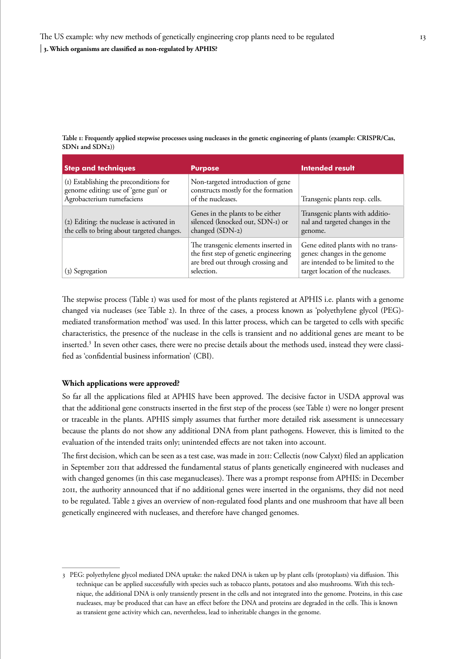**Table 1: Frequently applied stepwise processes using nucleases in the genetic engineering of plants (example: CRISPR/Cas, SDN1 and SDN2))**

| <b>Step and techniques</b>                                                                                  | <b>Purpose</b>                                                                                                                  | <b>Intended result</b>                                                                                                                      |
|-------------------------------------------------------------------------------------------------------------|---------------------------------------------------------------------------------------------------------------------------------|---------------------------------------------------------------------------------------------------------------------------------------------|
| (1) Establishing the preconditions for<br>genome editing: use of 'gene gun' or<br>Agrobacterium tumefaciens | Non-targeted introduction of gene<br>constructs mostly for the formation<br>of the nucleases.                                   | Transgenic plants resp. cells.                                                                                                              |
| (2) Editing: the nuclease is activated in<br>the cells to bring about targeted changes.                     | Genes in the plants to be either<br>silenced (knocked out, SDN-I) or<br>changed (SDN-2)                                         | Transgenic plants with additio-<br>nal and targeted changes in the<br>genome.                                                               |
| (3) Segregation                                                                                             | The transgenic elements inserted in<br>the first step of genetic engineering<br>are bred out through crossing and<br>selection. | Gene edited plants with no trans-<br>genes: changes in the genome<br>are intended to be limited to the<br>target location of the nucleases. |

The stepwise process (Table 1) was used for most of the plants registered at APHIS i.e. plants with a genome changed via nucleases (see Table 2). In three of the cases, a process known as 'polyethylene glycol (PEG) mediated transformation method' was used. In this latter process, which can be targeted to cells with specific characteristics, the presence of the nuclease in the cells is transient and no additional genes are meant to be inserted.<sup>3</sup> In seven other cases, there were no precise details about the methods used, instead they were classified as 'confidential business information' (CBI).

#### **Which applications were approved?**

So far all the applications filed at APHIS have been approved. The decisive factor in USDA approval was that the additional gene constructs inserted in the first step of the process (see Table 1) were no longer present or traceable in the plants. APHIS simply assumes that further more detailed risk assessment is unnecessary because the plants do not show any additional DNA from plant pathogens. However, this is limited to the evaluation of the intended traits only; unintended effects are not taken into account.

The first decision, which can be seen as a test case, was made in 2011: Cellectis (now Calyxt) filed an application in September 2011 that addressed the fundamental status of plants genetically engineered with nucleases and with changed genomes (in this case meganucleases). There was a prompt response from APHIS: in December 2011, the authority announced that if no additional genes were inserted in the organisms, they did not need to be regulated. Table 2 gives an overview of non-regulated food plants and one mushroom that have all been genetically engineered with nucleases, and therefore have changed genomes.

<sup>3</sup> PEG: polyethylene glycol mediated DNA uptake: the naked DNA is taken up by plant cells (protoplasts) via diffusion. This technique can be applied successfully with species such as tobacco plants, potatoes and also mushrooms. With this technique, the additional DNA is only transiently present in the cells and not integrated into the genome. Proteins, in this case nucleases, may be produced that can have an effect before the DNA and proteins are degraded in the cells. This is known as transient gene activity which can, nevertheless, lead to inheritable changes in the genome.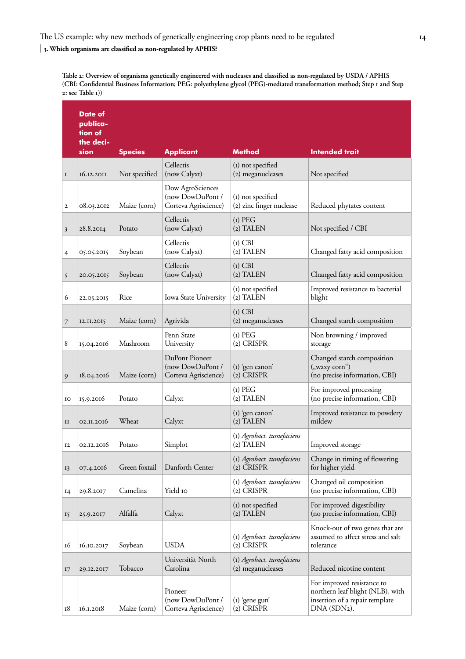## The US example: why new methods of genetically engineering crop plants need to be regulated

#### | **3. Which organisms are classified as non-regulated by APHIS?**

**Table 2: Overview of organisms genetically engineered with nucleases and classified as non-regulated by USDA / APHIS (CBI: Confidential Business Information; PEG: polyethylene glycol (PEG)-mediated transformation method; Step 1 and Step 2: see Table 1))**

|             | Date of<br>publica-<br>tion of<br>the deci- |                |                                                              |                                                |                                                                                                                 |
|-------------|---------------------------------------------|----------------|--------------------------------------------------------------|------------------------------------------------|-----------------------------------------------------------------------------------------------------------------|
|             | sion                                        | <b>Species</b> | <b>Applicant</b>                                             | <b>Method</b>                                  | <b>Intended trait</b>                                                                                           |
| $\bf I$     | 16.12.2011                                  | Not specified  | Cellectis<br>(now Calyxt)                                    | (I) not specified<br>(2) meganucleases         | Not specified                                                                                                   |
| 2           | 08.03.2012                                  | Maize (corn)   | Dow AgroSciences<br>(now DowDuPont /<br>Corteva Agriscience) | (I) not specified<br>(2) zinc finger nuclease  | Reduced phytates content                                                                                        |
| 3           | 28.8.2014                                   | Potato         | Cellectis<br>(now Calyxt)                                    | $(I)$ PEG<br>(2) TALEN                         | Not specified / CBI                                                                                             |
| 4           | 05.05.2015                                  | Soybean        | Cellectis<br>(now Calyxt)                                    | $(i)$ CBI<br>(2) TALEN                         | Changed fatty acid composition                                                                                  |
| 5           | 20.05.2015                                  | Soybean        | Cellectis<br>(now Calyxt)                                    | $(i)$ CBI<br>(2) TALEN                         | Changed fatty acid composition                                                                                  |
| 6           | 22.05.2015                                  | Rice           | Iowa State University                                        | (I) not specified<br>$(2)$ TALEN               | Improved resistance to bacterial<br>blight                                                                      |
| 7           | I2.II.2015                                  | Maize (corn)   | Agrivida                                                     | $(i)$ CBI<br>(2) meganucleases                 | Changed starch composition                                                                                      |
| 8           | 15.04.2016                                  | Mushroom       | Penn State<br>University                                     | $(i)$ PEG<br>(2) CRISPR                        | Non browning / improved<br>storage                                                                              |
| 9           | 18.04.2016                                  | Maize (corn)   | DuPont Pioneer<br>(now DowDuPont /<br>Corteva Agriscience)   | (1) 'gen canon'<br>$(2)$ CRISPR                | Changed starch composition<br>("waxy corn")<br>(no precise information, CBI)                                    |
| IO          | 15.9.2016                                   | Potato         | Calyxt                                                       | $(i)$ PEG<br>$(2)$ TALEN                       | For improved processing<br>(no precise information, CBI)                                                        |
| $_{\rm II}$ | 02.11.2016                                  | Wheat          | Calyxt                                                       | (I) 'gen canon'<br>$(2)$ TALEN                 | Improved resistance to powdery<br>mildew                                                                        |
| 12          | 02.12.2016                                  | Potato         | Simplot                                                      | (1) Agrobact. tumefaciens<br>$(2)$ TALEN       | Improved storage                                                                                                |
| 13          | 07.4.2016                                   | Green foxtail  | Danforth Center                                              | (1) Agrobact. tumefaciens<br>(2) CRISPR        | Change in timing of flowering<br>for higher yield                                                               |
| I4          | 29.8.2017                                   | Camelina       | Yield 10                                                     | (1) Agrobact. tumefaciens<br>$(2)$ CRISPR      | Changed oil composition<br>(no precise information, CBI)                                                        |
| 15          | 25.9.2017                                   | Alfalfa        | Calyxt                                                       | (I) not specified<br>$(2)$ TALEN               | For improved digestibility<br>(no precise information, CBI)                                                     |
| 16          | 16.10.2017                                  | Soybean        | <b>USDA</b>                                                  | (1) Agrobact. tumefaciens<br>$(2)$ CRISPR      | Knock-out of two genes that are<br>assumed to affect stress and salt<br>tolerance                               |
| 17          | 29.12.2017                                  | Tobacco        | Universität North<br>Carolina                                | (1) Agrobact. tumefaciens<br>(2) meganucleases | Reduced nicotine content                                                                                        |
| 18          | 16.1.2018                                   | Maize (corn)   | Pioneer<br>(now DowDuPont /<br>Corteva Agriscience)          | $(i)$ 'gene gun'<br>(2) CRISPR                 | For improved resistance to<br>northern leaf blight (NLB), with<br>insertion of a repair template<br>DNA (SDN2). |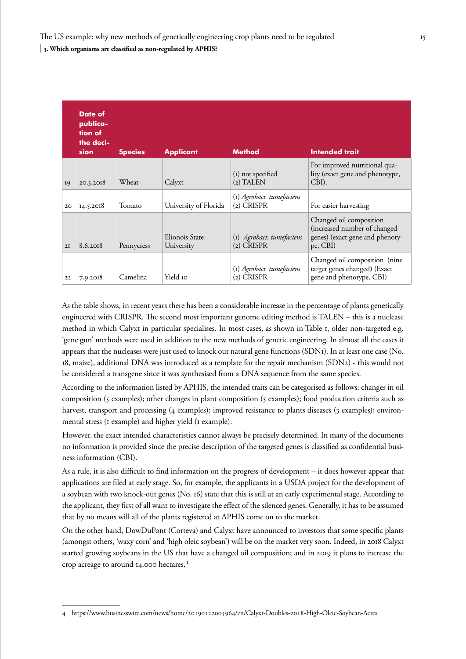|    | Date of<br>publica-<br>tion of<br>the deci-<br>sion | <b>Species</b> | <b>Applicant</b>              | <b>Method</b>                             | <b>Intended trait</b>                                                                                  |
|----|-----------------------------------------------------|----------------|-------------------------------|-------------------------------------------|--------------------------------------------------------------------------------------------------------|
| 19 | 20.3.2018                                           | Wheat          | Calyxt                        | (I) not specified<br>$(2)$ TALEN          | For improved nutritional qua-<br>lity (exact gene and phenotype,<br>CBI).                              |
| 20 | 14.5.2018                                           | Tomato         | University of Florida         | (1) Agrobact. tumefaciens<br>$(2)$ CRISPR | For easier harvesting                                                                                  |
| 2I | 8.6.2018                                            | Pennycress     | Illionois State<br>University | (I) Agrobact. tumefaciens<br>$(2)$ CRISPR | Changed oil composition<br>(increased number of changed<br>genes) (exact gene and phenoty-<br>pe, CBI) |
| 22 | 7.9.2018                                            | Camelina       | Yield 10                      | (I) Agrobact. tumefaciens<br>(2) CRISPR   | Changed oil composition (nine<br>target genes changed) (Exact<br>gene and phenotype, CBI)              |

As the table shows, in recent years there has been a considerable increase in the percentage of plants genetically engineered with CRISPR. The second most important genome editing method is TALEN – this is a nuclease method in which Calyxt in particular specialises. In most cases, as shown in Table 1, older non-targeted e.g. 'gene gun' methods were used in addition to the new methods of genetic engineering. In almost all the cases it appears that the nucleases were just used to knock out natural gene functions (SDN1). In at least one case (No. 18, maize), additional DNA was introduced as a template for the repair mechanism (SDN2) - this would not be considered a transgene since it was synthesised from a DNA sequence from the same species.

According to the information listed by APHIS, the intended traits can be categorised as follows: changes in oil composition (5 examples); other changes in plant composition (5 examples); food production criteria such as harvest, transport and processing (4 examples); improved resistance to plants diseases (3 examples); environmental stress (1 example) and higher yield (1 example).

However, the exact intended characteristics cannot always be precisely determined. In many of the documents no information is provided since the precise description of the targeted genes is classified as confidential business information (CBI).

As a rule, it is also difficult to find information on the progress of development – it does however appear that applications are filed at early stage. So, for example, the applicants in a USDA project for the development of a soybean with two knock-out genes (No. 16) state that this is still at an early experimental stage. According to the applicant, they first of all want to investigate the effect of the silenced genes. Generally, it has to be assumed that by no means will all of the plants registered at APHIS come on to the market.

On the other hand, DowDuPont (Corteva) and Calyxt have announced to investors that some specific plants (amongst others, 'waxy corn' and 'high oleic soybean') will be on the market very soon. Indeed, in 2018 Calyxt started growing soybeans in the US that have a changed oil composition; and in 2019 it plans to increase the crop acreage to around 14.000 hectares.4

<sup>4</sup> https://www.businesswire.com/news/home/20190122005964/en/Calyxt-Doubles-2018-High-Oleic-Soybean-Acres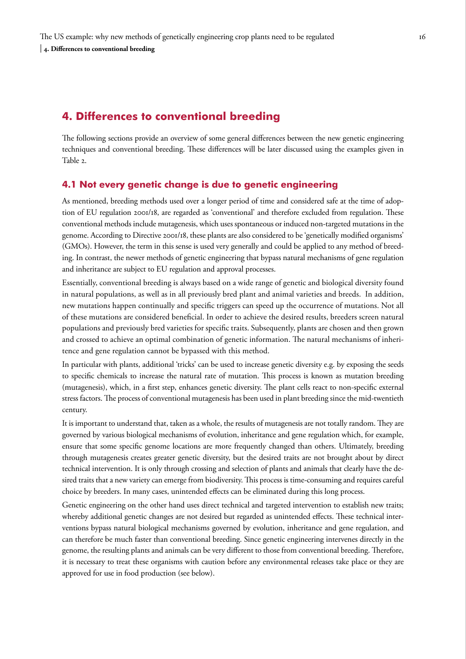# <span id="page-15-0"></span>**4. Differences to conventional breeding**

The following sections provide an overview of some general differences between the new genetic engineering techniques and conventional breeding. These differences will be later discussed using the examples given in Table 2.

## **4.1 Not every genetic change is due to genetic engineering**

As mentioned, breeding methods used over a longer period of time and considered safe at the time of adoption of EU regulation 2001/18, are regarded as 'conventional' and therefore excluded from regulation. These conventional methods include mutagenesis, which uses spontaneous or induced non-targeted mutations in the genome. According to Directive 2001/18, these plants are also considered to be 'genetically modified organisms' (GMOs). However, the term in this sense is used very generally and could be applied to any method of breeding. In contrast, the newer methods of genetic engineering that bypass natural mechanisms of gene regulation and inheritance are subject to EU regulation and approval processes.

Essentially, conventional breeding is always based on a wide range of genetic and biological diversity found in natural populations, as well as in all previously bred plant and animal varieties and breeds. In addition, new mutations happen continually and specific triggers can speed up the occurrence of mutations. Not all of these mutations are considered beneficial. In order to achieve the desired results, breeders screen natural populations and previously bred varieties for specific traits. Subsequently, plants are chosen and then grown and crossed to achieve an optimal combination of genetic information. The natural mechanisms of inheritence and gene regulation cannot be bypassed with this method.

In particular with plants, additional 'tricks' can be used to increase genetic diversity e.g. by exposing the seeds to specific chemicals to increase the natural rate of mutation. This process is known as mutation breeding (mutagenesis), which, in a first step, enhances genetic diversity. The plant cells react to non-specific external stress factors. The process of conventional mutagenesis has been used in plant breeding since the mid-twentieth century.

It is important to understand that, taken as a whole, the results of mutagenesis are not totally random. They are governed by various biological mechanisms of evolution, inheritance and gene regulation which, for example, ensure that some specific genome locations are more frequently changed than others. Ultimately, breeding through mutagenesis creates greater genetic diversity, but the desired traits are not brought about by direct technical intervention. It is only through crossing and selection of plants and animals that clearly have the desired traits that a new variety can emerge from biodiversity. This process is time-consuming and requires careful choice by breeders. In many cases, unintended effects can be eliminated during this long process.

Genetic engineering on the other hand uses direct technical and targeted intervention to establish new traits; whereby additional genetic changes are not desired but regarded as unintended effects. These technical interventions bypass natural biological mechanisms governed by evolution, inheritance and gene regulation, and can therefore be much faster than conventional breeding. Since genetic engineering intervenes directly in the genome, the resulting plants and animals can be very different to those from conventional breeding. Therefore, it is necessary to treat these organisms with caution before any environmental releases take place or they are approved for use in food production (see below).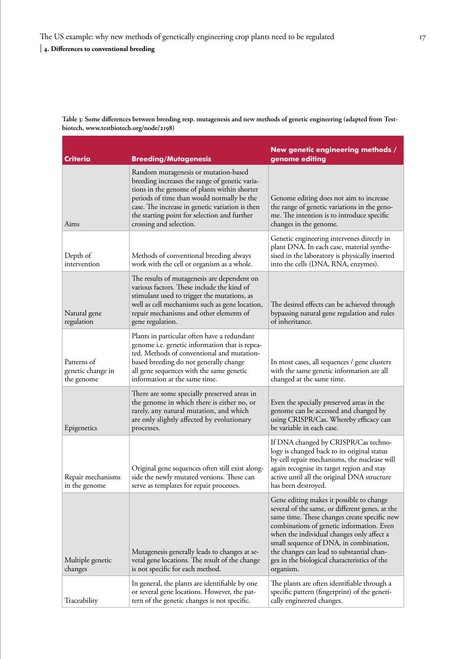| Table 3: Some differences between breeding resp. mutagenesis and new methods of genetic engineering (adapted from Test- |  |
|-------------------------------------------------------------------------------------------------------------------------|--|
| biotech, www.testbiotech.org/node/2198)                                                                                 |  |

| <b>Criteria</b>                                | <b>Breeding/Mutagenesis</b>                                                                                                                                                                                                                                                                                        | New genetic engineering methods /<br>genome editing                                                                                                                                                                                                                                                                                                                                       |
|------------------------------------------------|--------------------------------------------------------------------------------------------------------------------------------------------------------------------------------------------------------------------------------------------------------------------------------------------------------------------|-------------------------------------------------------------------------------------------------------------------------------------------------------------------------------------------------------------------------------------------------------------------------------------------------------------------------------------------------------------------------------------------|
| Aims                                           | Random mutagenesis or mutation-based<br>breeding increases the range of genetic varia-<br>tions in the genome of plants within shorter<br>periods of time than would normally be the<br>case. The increase in genetic variation is then<br>the starting point for selection and further<br>crossing and selection. | Genome editing does not aim to increase<br>the range of genetic variations in the geno-<br>me. The intention is to introduce specific<br>changes in the genome.                                                                                                                                                                                                                           |
| Depth of<br>intervention                       | Methods of conventional breeding always<br>work with the cell or organism as a whole.                                                                                                                                                                                                                              | Genetic engineering intervenes directly in<br>plant DNA. In each case, material synthe-<br>sised in the laboratory is physically inserted<br>into the cells (DNA, RNA, enzymes).                                                                                                                                                                                                          |
| Natural gene<br>regulation                     | The results of mutagenesis are dependent on<br>various factors. These include the kind of<br>stimulant used to trigger the mutations, as<br>well as cell mechanisms such as gene location,<br>repair mechanisms and other elements of<br>gene regulation.                                                          | The desired effects can be achieved through<br>bypassing natural gene regulation and rules<br>of inheritance.                                                                                                                                                                                                                                                                             |
| Patterns of<br>genetic change in<br>the genome | Plants in particular often have a redundant<br>genome i.e. genetic information that is repea-<br>ted. Methods of conventional and mutation-<br>based breeding do not generally change<br>all gene sequences with the same genetic<br>information at the same time.                                                 | In most cases, all sequences / gene clusters<br>with the same genetic information are all<br>changed at the same time.                                                                                                                                                                                                                                                                    |
| Epigenetics                                    | There are some specially preserved areas in<br>the genome in which there is either no, or<br>rarely, any natural mutation, and which<br>are only slightly affected by evolutionary<br>processes.                                                                                                                   | Even the specially preserved areas in the<br>genome can be accessed and changed by<br>using CRISPR/Cas. Whereby efficacy can<br>be variable in each case.                                                                                                                                                                                                                                 |
| Repair mechanisms<br>in the genome             | Original gene sequences often still exist along-<br>side the newly mutated versions. These can<br>serve as templates for repair processes.                                                                                                                                                                         | If DNA changed by CRISPR/Cas techno-<br>logy is changed back to its original status<br>by cell repair mechanisms, the nuclease will<br>again recognise its target region and stay<br>active until all the original DNA structure<br>has been destroyed.                                                                                                                                   |
| Multiple genetic<br>changes                    | Mutagenesis generally leads to changes at se-<br>veral gene locations. The result of the change<br>is not specific for each method.                                                                                                                                                                                | Gene editing makes it possible to change<br>several of the same, or different genes, at the<br>same time. These changes create specific new<br>combinations of genetic information. Even<br>when the individual changes only affect a<br>small sequence of DNA, in combination,<br>the changes can lead to substantial chan-<br>ges in the biological characteristics of the<br>organism. |
| Traceability                                   | In general, the plants are identifiable by one<br>or several gene locations. However, the pat-<br>tern of the genetic changes is not specific.                                                                                                                                                                     | The plants are often identifiable through a<br>specific pattern (fingerprint) of the geneti-<br>cally engineered changes.                                                                                                                                                                                                                                                                 |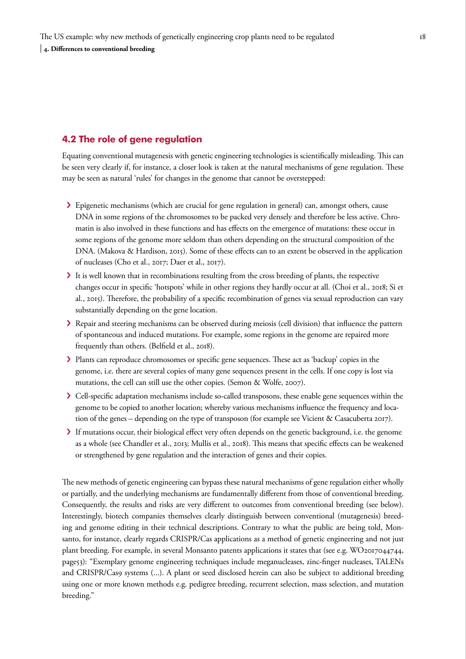## <span id="page-17-0"></span>**4.2 The role of gene regulation**

Equating conventional mutagenesis with genetic engineering technologies is scientifically misleading. This can be seen very clearly if, for instance, a closer look is taken at the natural mechanisms of gene regulation. These may be seen as natural 'rules' for changes in the genome that cannot be overstepped:

- › Epigenetic mechanisms (which are crucial for gene regulation in general) can, amongst others, cause DNA in some regions of the chromosomes to be packed very densely and therefore be less active. Chromatin is also involved in these functions and has effects on the emergence of mutations: these occur in some regions of the genome more seldom than others depending on the structural composition of the DNA. (Makova & Hardison, 2015). Some of these effects can to an extent be observed in the application of nucleases (Cho et al., 2017; Daer et al., 2017).
- It is well known that in recombinations resulting from the cross breeding of plants, the respective changes occur in specific 'hotspots' while in other regions they hardly occur at all. (Choi et al., 2018; Si et al., 2015). Therefore, the probability of a specific recombination of genes via sexual reproduction can vary substantially depending on the gene location.
- › Repair and steering mechanisms can be observed during meiosis (cell division) that influence the pattern of spontaneous and induced mutations. For example, some regions in the genome are repaired more frequently than others. (Belfield et al., 2018).
- › Plants can reproduce chromosomes or specific gene sequences. These act as 'backup' copies in the genome, i.e. there are several copies of many gene sequences present in the cells. If one copy is lost via mutations, the cell can still use the other copies. (Semon & Wolfe, 2007).
- › Cell-specific adaptation mechanisms include so-called transposons, these enable gene sequences within the genome to be copied to another location; whereby various mechanisms influence the frequency and location of the genes – depending on the type of transposon (for example see Vicient & Casacuberta 2017).
- › If mutations occur, their biological effect very often depends on the genetic background, i.e. the genome as a whole (see Chandler et al., 2013; Mullis et al., 2018). This means that specific effects can be weakened or strengthened by gene regulation and the interaction of genes and their copies.

The new methods of genetic engineering can bypass these natural mechanisms of gene regulation either wholly or partially, and the underlying mechanisms are fundamentally different from those of conventional breeding. Consequently, the results and risks are very different to outcomes from conventional breeding (see below). Interestingly, biotech companies themselves clearly distinguish between conventional (mutagenesis) breeding and genome editing in their technical descriptions. Contrary to what the public are being told, Monsanto, for instance, clearly regards CRISPR/Cas applications as a method of genetic engineering and not just plant breeding. For example, in several Monsanto patents applications it states that (see e.g. WO2017044744, page53): "Exemplary genome engineering techniques include meganucleases, zinc-finger nucleases, TALENs and CRISPR/Cas9 systems (...). A plant or seed disclosed herein can also be subject to additional breeding using one or more known methods e.g. pedigree breeding, recurrent selection, mass selection, and mutation breeding."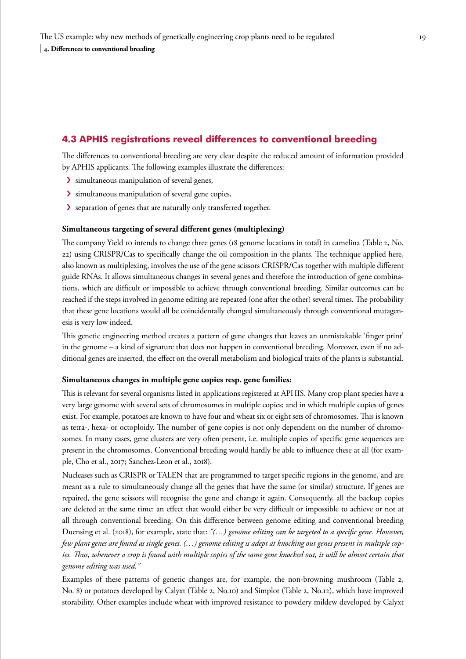## <span id="page-18-0"></span>**4.3 APHIS registrations reveal differences to conventional breeding**

The differences to conventional breeding are very clear despite the reduced amount of information provided by APHIS applicants. The following examples illustrate the differences:

- › simultaneous manipulation of several genes,
- › simultaneous manipulation of several gene copies,
- › separation of genes that are naturally only transferred together.

#### **Simultaneous targeting of several different genes (multiplexing)**

The company Yield 10 intends to change three genes (18 genome locations in total) in camelina (Table 2, No. 22) using CRISPR/Cas to specifically change the oil composition in the plants. The technique applied here, also known as multiplexing, involves the use of the gene scissors CRISPR/Cas together with multiple different guide RNAs. It allows simultaneous changes in several genes and therefore the introduction of gene combinations, which are difficult or impossible to achieve through conventional breeding. Similar outcomes can be reached if the steps involved in genome editing are repeated (one after the other) several times. The probability that these gene locations would all be coincidentally changed simultaneously through conventional mutagenesis is very low indeed.

This genetic engineering method creates a pattern of gene changes that leaves an unmistakable 'finger print' in the genome – a kind of signature that does not happen in conventional breeding. Moreover, even if no additional genes are inserted, the effect on the overall metabolism and biological traits of the plants is substantial.

## **Simultaneous changes in multiple gene copies resp. gene families:**

This is relevant for several organisms listed in applications registered at APHIS. Many crop plant species have a very large genome with several sets of chromosomes in multiple copies; and in which multiple copies of genes exist. For example, potatoes are known to have four and wheat six or eight sets of chromosomes. This is known as tetra-, hexa- or octoploidy. The number of gene copies is not only dependent on the number of chromosomes. In many cases, gene clusters are very often present, i.e. multiple copies of specific gene sequences are present in the chromosomes. Conventional breeding would hardly be able to influence these at all (for example, Cho et al., 2017; Sanchez-Leon et al., 2018).

Nucleases such as CRISPR or TALEN that are programmed to target specific regions in the genome, and are meant as a rule to simultaneously change all the genes that have the same (or similar) structure. If genes are repaired, the gene scissors will recognise the gene and change it again. Consequently, all the backup copies are deleted at the same time: an effect that would either be very difficult or impossible to achieve or not at all through conventional breeding. On this difference between genome editing and conventional breeding Duensing et al. (2018), for example, state that: *"(…) genome editing can be targeted to a specific gene. However, few plant genes are found as single genes. (…) genome editing is adept at knocking out genes present in multiple cop*ies. Thus, whenever a crop is found with multiple copies of the same gene knocked out, it will be almost certain that *genome editing was used."* 

Examples of these patterns of genetic changes are, for example, the non-browning mushroom (Table 2, No. 8) or potatoes developed by Calyxt (Table 2, No.10) and Simplot (Table 2, No.12), which have improved storability. Other examples include wheat with improved resistance to powdery mildew developed by Calyxt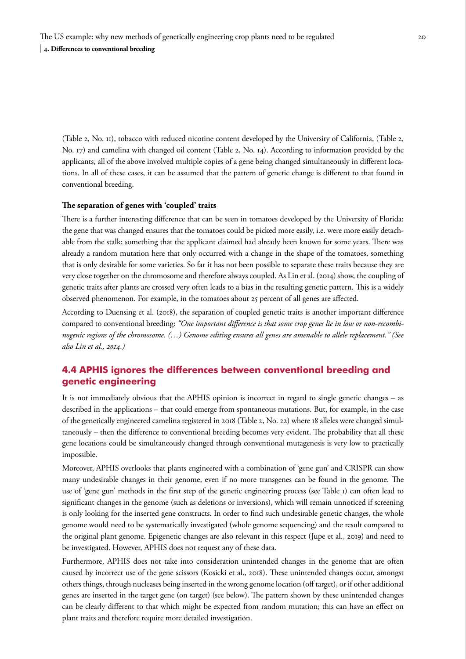<span id="page-19-0"></span>(Table 2, No. 11), tobacco with reduced nicotine content developed by the University of California, (Table 2, No. 17) and camelina with changed oil content (Table 2, No. 14). According to information provided by the applicants, all of the above involved multiple copies of a gene being changed simultaneously in different locations. In all of these cases, it can be assumed that the pattern of genetic change is different to that found in conventional breeding.

#### **The separation of genes with 'coupled' traits**

There is a further interesting difference that can be seen in tomatoes developed by the University of Florida: the gene that was changed ensures that the tomatoes could be picked more easily, i.e. were more easily detachable from the stalk; something that the applicant claimed had already been known for some years. There was already a random mutation here that only occurred with a change in the shape of the tomatoes, something that is only desirable for some varieties. So far it has not been possible to separate these traits because they are very close together on the chromosome and therefore always coupled. As Lin et al. (2014) show, the coupling of genetic traits after plants are crossed very often leads to a bias in the resulting genetic pattern. This is a widely observed phenomenon. For example, in the tomatoes about 25 percent of all genes are affected.

According to Duensing et al. (2018), the separation of coupled genetic traits is another important difference compared to conventional breeding: *"One important difference is that some crop genes lie in low or non-recombinogenic regions of the chromosome. (…) Genome editing ensures all genes are amenable to allele replacement." (See also Lin et al., 2014.)*

## **4.4 APHIS ignores the differences between conventional breeding and genetic engineering**

It is not immediately obvious that the APHIS opinion is incorrect in regard to single genetic changes – as described in the applications – that could emerge from spontaneous mutations. But, for example, in the case of the genetically engineered camelina registered in 2018 (Table 2, No. 22) where 18 alleles were changed simultaneously – then the difference to conventional breeding becomes very evident. The probability that all these gene locations could be simultaneously changed through conventional mutagenesis is very low to practically impossible.

Moreover, APHIS overlooks that plants engineered with a combination of 'gene gun' and CRISPR can show many undesirable changes in their genome, even if no more transgenes can be found in the genome. The use of 'gene gun' methods in the first step of the genetic engineering process (see Table 1) can often lead to significant changes in the genome (such as deletions or inversions), which will remain unnoticed if screening is only looking for the inserted gene constructs. In order to find such undesirable genetic changes, the whole genome would need to be systematically investigated (whole genome sequencing) and the result compared to the original plant genome. Epigenetic changes are also relevant in this respect (Jupe et al., 2019) and need to be investigated. However, APHIS does not request any of these data.

Furthermore, APHIS does not take into consideration unintended changes in the genome that are often caused by incorrect use of the gene scissors (Kosicki et al., 2018). These unintended changes occur, amongst others things, through nucleases being inserted in the wrong genome location (off target), or if other additional genes are inserted in the target gene (on target) (see below). The pattern shown by these unintended changes can be clearly different to that which might be expected from random mutation; this can have an effect on plant traits and therefore require more detailed investigation.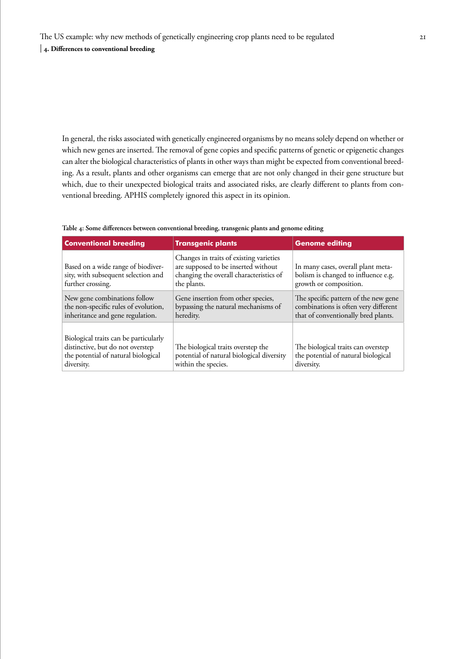In general, the risks associated with genetically engineered organisms by no means solely depend on whether or which new genes are inserted. The removal of gene copies and specific patterns of genetic or epigenetic changes can alter the biological characteristics of plants in other ways than might be expected from conventional breeding. As a result, plants and other organisms can emerge that are not only changed in their gene structure but which, due to their unexpected biological traits and associated risks, are clearly different to plants from conventional breeding. APHIS completely ignored this aspect in its opinion.

| <b>Conventional breeding</b>                                                                                                   | <b>Transgenic plants</b>                                                                                                                 | <b>Genome editing</b>                                                                                               |
|--------------------------------------------------------------------------------------------------------------------------------|------------------------------------------------------------------------------------------------------------------------------------------|---------------------------------------------------------------------------------------------------------------------|
| Based on a wide range of biodiver-<br>sity, with subsequent selection and<br>further crossing.                                 | Changes in traits of existing varieties<br>are supposed to be inserted without<br>changing the overall characteristics of<br>the plants. | In many cases, overall plant meta-<br>bolism is changed to influence e.g.<br>growth or composition.                 |
| New gene combinations follow<br>the non-specific rules of evolution,<br>inheritance and gene regulation.                       | Gene insertion from other species,<br>bypassing the natural mechanisms of<br>heredity.                                                   | The specific pattern of the new gene<br>combinations is often very different<br>that of conventionally bred plants. |
| Biological traits can be particularly<br>distinctive, but do not overstep<br>the potential of natural biological<br>diversity. | The biological traits overstep the<br>potential of natural biological diversity<br>within the species.                                   | The biological traits can overstep<br>the potential of natural biological<br>diversity.                             |

#### **Table 4: Some differences between conventional breeding, transgenic plants and genome editing**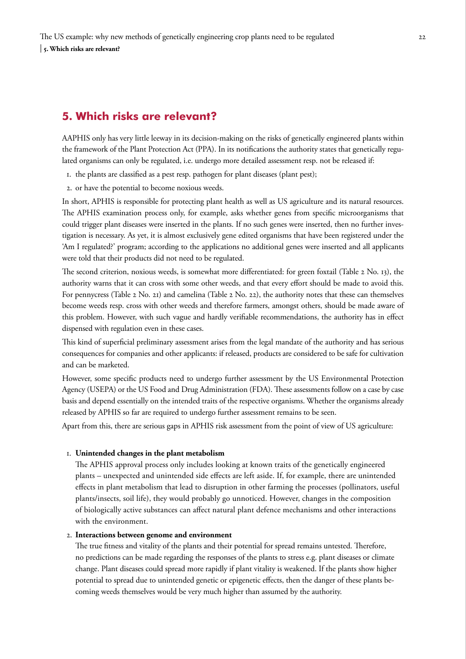# <span id="page-21-0"></span>**5. Which risks are relevant?**

AAPHIS only has very little leeway in its decision-making on the risks of genetically engineered plants within the framework of the Plant Protection Act (PPA). In its notifications the authority states that genetically regulated organisms can only be regulated, i.e. undergo more detailed assessment resp. not be released if:

- 1. the plants are classified as a pest resp. pathogen for plant diseases (plant pest);
- 2. or have the potential to become noxious weeds.

In short, APHIS is responsible for protecting plant health as well as US agriculture and its natural resources. The APHIS examination process only, for example, asks whether genes from specific microorganisms that could trigger plant diseases were inserted in the plants. If no such genes were inserted, then no further investigation is necessary. As yet, it is almost exclusively gene edited organisms that have been registered under the 'Am I regulated?' program; according to the applications no additional genes were inserted and all applicants were told that their products did not need to be regulated.

The second criterion, noxious weeds, is somewhat more differentiated: for green foxtail (Table 2 No. 13), the authority warns that it can cross with some other weeds, and that every effort should be made to avoid this. For pennycress (Table 2 No. 21) and camelina (Table 2 No. 22), the authority notes that these can themselves become weeds resp. cross with other weeds and therefore farmers, amongst others, should be made aware of this problem. However, with such vague and hardly verifiable recommendations, the authority has in effect dispensed with regulation even in these cases.

This kind of superficial preliminary assessment arises from the legal mandate of the authority and has serious consequences for companies and other applicants: if released, products are considered to be safe for cultivation and can be marketed.

However, some specific products need to undergo further assessment by the US Environmental Protection Agency (USEPA) or the US Food and Drug Administration (FDA). These assessments follow on a case by case basis and depend essentially on the intended traits of the respective organisms. Whether the organisms already released by APHIS so far are required to undergo further assessment remains to be seen.

Apart from this, there are serious gaps in APHIS risk assessment from the point of view of US agriculture:

#### 1. **Unintended changes in the plant metabolism**

The APHIS approval process only includes looking at known traits of the genetically engineered plants – unexpected and unintended side effects are left aside. If, for example, there are unintended effects in plant metabolism that lead to disruption in other farming the processes (pollinators, useful plants/insects, soil life), they would probably go unnoticed. However, changes in the composition of biologically active substances can affect natural plant defence mechanisms and other interactions with the environment.

## 2. **Interactions between genome and environment**

The true fitness and vitality of the plants and their potential for spread remains untested. Therefore, no predictions can be made regarding the responses of the plants to stress e.g. plant diseases or climate change. Plant diseases could spread more rapidly if plant vitality is weakened. If the plants show higher potential to spread due to unintended genetic or epigenetic effects, then the danger of these plants becoming weeds themselves would be very much higher than assumed by the authority.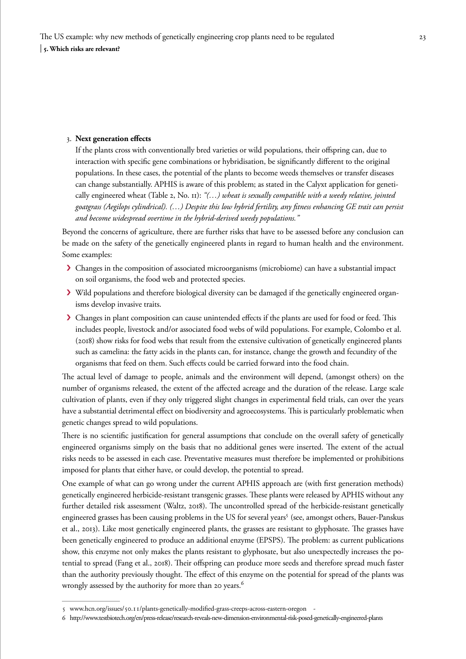### 3. **Next generation effects**

If the plants cross with conventionally bred varieties or wild populations, their offspring can, due to interaction with specific gene combinations or hybridisation, be significantly different to the original populations. In these cases, the potential of the plants to become weeds themselves or transfer diseases can change substantially. APHIS is aware of this problem; as stated in the Calyxt application for genetically engineered wheat (Table 2, No. 11): *"(…) wheat is sexually compatible with a weedy relative, jointed goatgrass (Aegilops cylindrical). (…) Despite this low hybrid fertility, any fitness enhancing GE trait can persist and become widespread overtime in the hybrid-derived weedy populations."* 

Beyond the concerns of agriculture, there are further risks that have to be assessed before any conclusion can be made on the safety of the genetically engineered plants in regard to human health and the environment. Some examples:

- › Changes in the composition of associated microorganisms (microbiome) can have a substantial impact on soil organisms, the food web and protected species.
- › Wild populations and therefore biological diversity can be damaged if the genetically engineered organisms develop invasive traits.
- > Changes in plant composition can cause unintended effects if the plants are used for food or feed. This includes people, livestock and/or associated food webs of wild populations. For example, Colombo et al. (2018) show risks for food webs that result from the extensive cultivation of genetically engineered plants such as camelina: the fatty acids in the plants can, for instance, change the growth and fecundity of the organisms that feed on them. Such effects could be carried forward into the food chain.

The actual level of damage to people, animals and the environment will depend, (amongst others) on the number of organisms released, the extent of the affected acreage and the duration of the release. Large scale cultivation of plants, even if they only triggered slight changes in experimental field trials, can over the years have a substantial detrimental effect on biodiversity and agroecosystems. This is particularly problematic when genetic changes spread to wild populations.

There is no scientific justification for general assumptions that conclude on the overall safety of genetically engineered organisms simply on the basis that no additional genes were inserted. The extent of the actual risks needs to be assessed in each case. Preventative measures must therefore be implemented or prohibitions imposed for plants that either have, or could develop, the potential to spread.

One example of what can go wrong under the current APHIS approach are (with first generation methods) genetically engineered herbicide-resistant transgenic grasses. These plants were released by APHIS without any further detailed risk assessment (Waltz, 2018). The uncontrolled spread of the herbicide-resistant genetically engineered grasses has been causing problems in the US for several years<sup>5</sup> (see, amongst others, Bauer-Panskus et al., 2013). Like most genetically engineered plants, the grasses are resistant to glyphosate. The grasses have been genetically engineered to produce an additional enzyme (EPSPS). The problem: as current publications show, this enzyme not only makes the plants resistant to glyphosate, but also unexpectedly increases the potential to spread (Fang et al., 2018). Their offspring can produce more seeds and therefore spread much faster than the authority previously thought. The effect of this enzyme on the potential for spread of the plants was wrongly assessed by the authority for more than 20 years.<sup>6</sup>

<sup>5</sup> www.hcn.org/issues/50.11/plants-genetically-modified-grass-creeps-across-eastern-oregon -

<sup>6</sup> http://www.testbiotech.org/en/press-release/research-reveals-new-dimension-environmental-risk-posed-genetically-engineered-plants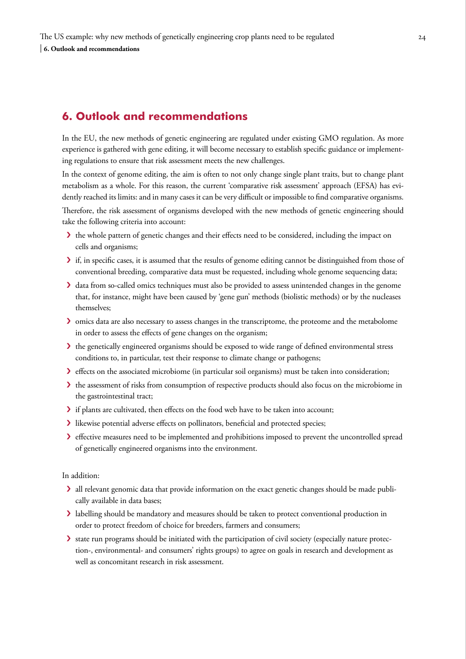# <span id="page-23-0"></span>**6. Outlook and recommendations**

In the EU, the new methods of genetic engineering are regulated under existing GMO regulation. As more experience is gathered with gene editing, it will become necessary to establish specific guidance or implementing regulations to ensure that risk assessment meets the new challenges.

In the context of genome editing, the aim is often to not only change single plant traits, but to change plant metabolism as a whole. For this reason, the current 'comparative risk assessment' approach (EFSA) has evidently reached its limits: and in many cases it can be very difficult or impossible to find comparative organisms. Therefore, the risk assessment of organisms developed with the new methods of genetic engineering should

take the following criteria into account:

- › the whole pattern of genetic changes and their effects need to be considered, including the impact on cells and organisms;
- › if, in specific cases, it is assumed that the results of genome editing cannot be distinguished from those of conventional breeding, comparative data must be requested, including whole genome sequencing data;
- › data from so-called omics techniques must also be provided to assess unintended changes in the genome that, for instance, might have been caused by 'gene gun' methods (biolistic methods) or by the nucleases themselves;
- › omics data are also necessary to assess changes in the transcriptome, the proteome and the metabolome in order to assess the effects of gene changes on the organism;
- › the genetically engineered organisms should be exposed to wide range of defined environmental stress conditions to, in particular, test their response to climate change or pathogens;
- › effects on the associated microbiome (in particular soil organisms) must be taken into consideration;
- > the assessment of risks from consumption of respective products should also focus on the microbiome in the gastrointestinal tract;
- › if plants are cultivated, then effects on the food web have to be taken into account;
- › likewise potential adverse effects on pollinators, beneficial and protected species;
- › effective measures need to be implemented and prohibitions imposed to prevent the uncontrolled spread of genetically engineered organisms into the environment.

In addition:

- › all relevant genomic data that provide information on the exact genetic changes should be made publically available in data bases;
- I labelling should be mandatory and measures should be taken to protect conventional production in order to protect freedom of choice for breeders, farmers and consumers;
- › state run programs should be initiated with the participation of civil society (especially nature protection-, environmental- and consumers' rights groups) to agree on goals in research and development as well as concomitant research in risk assessment.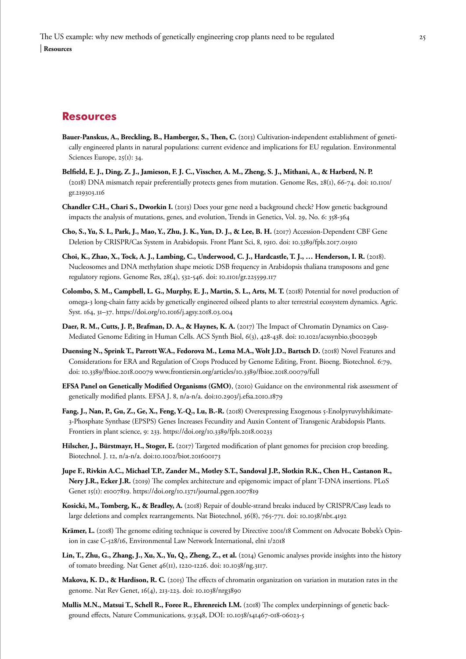## <span id="page-24-0"></span>**Resources**

- **Bauer-Panskus, A., Breckling, B., Hamberger, S., Then, C.** (2013) Cultivation-independent establishment of genetically engineered plants in natural populations: current evidence and implications for EU regulation. Environmental Sciences Europe, 25(1): 34.
- **Belfield, E. J., Ding, Z. J., Jamieson, F. J. C., Visscher, A. M., Zheng, S. J., Mithani, A., & Harberd, N. P.**  (2018) DNA mismatch repair preferentially protects genes from mutation. Genome Res, 28(1), 66-74. doi: 10.1101/ gr.219303.116
- **Chandler C.H., Chari S., Dworkin I.** (2013) Does your gene need a background check? How genetic background impacts the analysis of mutations, genes, and evolution, Trends in Genetics, Vol. 29, No. 6: 358-364
- **Cho, S., Yu, S. I., Park, J., Mao, Y., Zhu, J. K., Yun, D. J., & Lee, B. H.** (2017) Accession-Dependent CBF Gene Deletion by CRISPR/Cas System in Arabidopsis. Front Plant Sci, 8, 1910. doi: 10.3389/fpls.2017.01910
- **Choi, K., Zhao, X., Tock, A. J., Lambing, C., Underwood, C. J., Hardcastle, T. J., … Henderson, I. R.** (2018). Nucleosomes and DNA methylation shape meiotic DSB frequency in Arabidopsis thaliana transposons and gene regulatory regions. Genome Res, 28(4), 532-546. doi: 10.1101/gr.225599.117
- **Colombo, S. M., Campbell, L. G., Murphy, E. J., Martin, S. L., Arts, M. T.** (2018) Potential for novel production of omega-3 long-chain fatty acids by genetically engineered oilseed plants to alter terrestrial ecosystem dynamics. Agric. Syst. 164, 31–37. https://doi.org/10.1016/j.agsy.2018.03.004
- **Daer, R. M., Cutts, J. P., Brafman, D. A., & Haynes, K. A.** (2017) The Impact of Chromatin Dynamics on Cas9- Mediated Genome Editing in Human Cells. ACS Synth Biol, 6(3), 428-438. doi: 10.1021/acssynbio.5b00299b
- **Duensing N., Sprink T., Parrott W.A., Fedorova M., Lema M.A., Wolt J.D., Bartsch D.** (2018) Novel Features and Considerations for ERA and Regulation of Crops Produced by Genome Editing, Front. Bioeng. Biotechnol. 6:79, doi: 10.3389/fbioe.2018.00079 www.frontiersin.org/articles/10.3389/fbioe.2018.00079/full
- **EFSA Panel on Genetically Modified Organisms (GMO)**, (2010) Guidance on the environmental risk assessment of genetically modified plants. EFSA J. 8, n/a-n/a. doi:10.2903/j.efsa.2010.1879
- **Fang, J., Nan, P., Gu, Z., Ge, X., Feng, Y.-Q., Lu, B.-R.** (2018) Overexpressing Exogenous 5-Enolpyruvylshikimate-3-Phosphate Synthase (EPSPS) Genes Increases Fecundity and Auxin Content of Transgenic Arabidopsis Plants. Frontiers in plant science, 9: 233. https://doi.org/10.3389/fpls.2018.00233
- **Hilscher, J., Bürstmayr, H., Stoger, E.** (2017) Targeted modification of plant genomes for precision crop breeding. Biotechnol. J. 12, n/a-n/a. doi:10.1002/biot.201600173
- **Jupe F., Rivkin A.C., Michael T.P., Zander M., Motley S.T., Sandoval J.P., Slotkin R.K., Chen H., Castanon R., Nery J.R., Ecker J.R.** (2019) The complex architecture and epigenomic impact of plant T-DNA insertions. PLoS Genet 15(1): e1007819. https://doi.org/10.1371/journal.pgen.1007819
- **Kosicki, M., Tomberg, K., & Bradley, A.** (2018) Repair of double-strand breaks induced by CRISPR/Cas9 leads to large deletions and complex rearrangements. Nat Biotechnol, 36(8), 765-771. doi: 10.1038/nbt.4192
- **Krämer, L.** (2018) The genome editing technique is covered by Directive 2001/18 Comment on Advocate Bobek's Opinion in case C-528/16, Environmental Law Network International, elni 1/2018
- **Lin, T., Zhu, G., Zhang, J., Xu, X., Yu, Q., Zheng, Z., et al.** (2014) Genomic analyses provide insights into the history of tomato breeding. Nat Genet 46(11), 1220-1226. doi: 10.1038/ng.3117.
- **Makova, K. D., & Hardison, R. C.** (2015) The effects of chromatin organization on variation in mutation rates in the genome. Nat Rev Genet, 16(4), 213-223. doi: 10.1038/nrg3890
- **Mullis M.N., Matsui T., Schell R., Foree R., Ehrenreich I.M.** (2018) The complex underpinnings of genetic background effects, Nature Communications, 9:3548, DOI: 10.1038/s41467-018-06023-5